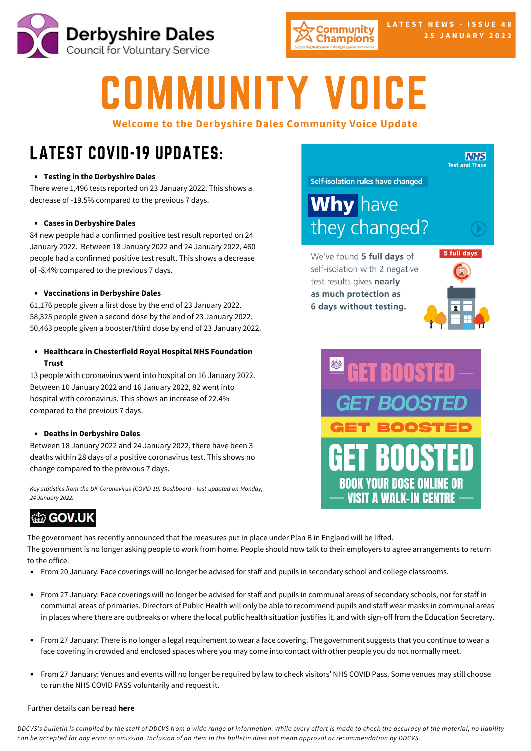



# COMMUNITY VOICE

**Welcome to the Derbyshire Dales Community Voice Update**

# LATEST COVID-19 UPDATES:

## **Testing in the [Derbyshire](https://www.gov.uk/guidance/covid-19-coronavirus-restrictions-what-you-can-and-cannot-do?priority-taxon=774cee22-d896-44c1-a611-e3109cce8eae) Dales**

There were 1,496 tests reported on 23 January 2022. This shows a decrease of -19.5% [compared](https://www.gov.uk/guidance/covid-19-coronavirus-restrictions-what-you-can-and-cannot-do?priority-taxon=774cee22-d896-44c1-a611-e3109cce8eae) to the previous 7 days.

## **Cases in [Derbyshire](https://www.gov.uk/guidance/covid-19-coronavirus-restrictions-what-you-can-and-cannot-do?priority-taxon=774cee22-d896-44c1-a611-e3109cce8eae) Dales**

84 new people had a [confirmed](https://www.gov.uk/guidance/covid-19-coronavirus-restrictions-what-you-can-and-cannot-do?priority-taxon=774cee22-d896-44c1-a611-e3109cce8eae) positive test result reported on 24 January 2022. [B](https://www.gov.uk/guidance/covid-19-coronavirus-restrictions-what-you-can-and-cannot-do?priority-taxon=774cee22-d896-44c1-a611-e3109cce8eae)etween 18 January 2022 and 24 January 2022, 460 people had a [confirmed](https://www.gov.uk/guidance/covid-19-coronavirus-restrictions-what-you-can-and-cannot-do?priority-taxon=774cee22-d896-44c1-a611-e3109cce8eae) positive test result. This shows a decrease of -8.4% compared to the previous 7 days.

## **[Vaccinations](https://www.gov.uk/guidance/covid-19-coronavirus-restrictions-what-you-can-and-cannot-do?priority-taxon=774cee22-d896-44c1-a611-e3109cce8eae) in Derbyshire Dales**

61,176 people given a first dose by the end of 23 [January](https://www.gov.uk/guidance/covid-19-coronavirus-restrictions-what-you-can-and-cannot-do?priority-taxon=774cee22-d896-44c1-a611-e3109cce8eae) 2022. 58,325 people given a second dose by the end of 23 [January](https://www.gov.uk/guidance/covid-19-coronavirus-restrictions-what-you-can-and-cannot-do?priority-taxon=774cee22-d896-44c1-a611-e3109cce8eae) 2022. 50,463 people given a [booster/third](https://www.gov.uk/guidance/covid-19-coronavirus-restrictions-what-you-can-and-cannot-do?priority-taxon=774cee22-d896-44c1-a611-e3109cce8eae) dose by end of 23 January 2022.

**Healthcare in [Chesterfield](https://www.gov.uk/guidance/covid-19-coronavirus-restrictions-what-you-can-and-cannot-do?priority-taxon=774cee22-d896-44c1-a611-e3109cce8eae) Royal Hospital NHS Foundation Trust**

13 people with [coronavirus](https://www.gov.uk/guidance/covid-19-coronavirus-restrictions-what-you-can-and-cannot-do?priority-taxon=774cee22-d896-44c1-a611-e3109cce8eae) went into hospital on 16 January 2022. Between 10 January 2022 and 16 January 2022, 82 went into hospital with [coronavirus.](https://www.gov.uk/guidance/covid-19-coronavirus-restrictions-what-you-can-and-cannot-do?priority-taxon=774cee22-d896-44c1-a611-e3109cce8eae) This shows an increase of 22.4% compared to the previous 7 days.

## **[De](https://www.gov.uk/guidance/covid-19-coronavirus-restrictions-what-you-can-and-cannot-do?priority-taxon=774cee22-d896-44c1-a611-e3109cce8eae)aths in [Derbyshire](https://www.gov.uk/guidance/covid-19-coronavirus-restrictions-what-you-can-and-cannot-do?priority-taxon=774cee22-d896-44c1-a611-e3109cce8eae) Dales**

Between 18 January 2022 and 24 January 2022, there have been 3 deaths within 28 days of a positive [coronavirus](https://www.gov.uk/guidance/covid-19-coronavirus-restrictions-what-you-can-and-cannot-do?priority-taxon=774cee22-d896-44c1-a611-e3109cce8eae) test. This shows no change compared to the previous 7 days.

*Key statistics from the UK [Coronavirus](https://www.gov.uk/guidance/covid-19-coronavirus-restrictions-what-you-can-and-cannot-do?priority-taxon=774cee22-d896-44c1-a611-e3109cce8eae) (COVID-19) Dashboard - last updated on Monday, 24 January 2022.*

## **the GOV.UK**

The government has recently announced that the measures put in place under Plan B in England will be lifted. The government is no longer asking people to work from home. People should now talk to their employers to agree arrangements to return to the office.

- From 20 January: Face coverings will no longer be advised for staff and pupils in secondary school and college classrooms.
- From 27 January: Face coverings will no longer be advised for staff and pupils in communal areas of secondary schools, nor for staff in communal areas of primaries. Directors of Public Health will only be able to recommend pupils and staff wear masks in communal areas in places where there are outbreaks or where the local public health situation justifies it, and with sign-off from the Education Secretary.
- From 27 January: There is no longer a legal requirement to wear a face covering. The government suggests that you continue to wear a face covering in crowded and enclosed spaces where you may come into contact with other people you do not normally meet.
- From 27 January: Venues and events will no longer be required by law to check visitors' NHS COVID Pass. Some venues may still choose to run the NHS COVID PASS voluntarily and request it.

## Further details can be read **[here](https://www.gov.uk/guidance/covid-19-coronavirus-restrictions-what-you-can-and-cannot-do?priority-taxon=774cee22-d896-44c1-a611-e3109cce8eae)**

DDCVS's bulletin is compiled by the staff of DDCVS from a wide range of information. While every effort is made to check the accuracy of the material, no liability can be accepted for any error or omission. Inclusion of an item in the bulletin does not mean approval or recommendation by DDCVS.

Self-isolation rules have changed

**Why** have they changed?

We've found 5 full days of self-isolation with 2 negative test results gives nearly as much protection as 6 days without testing.



**NHS Test and Trace**